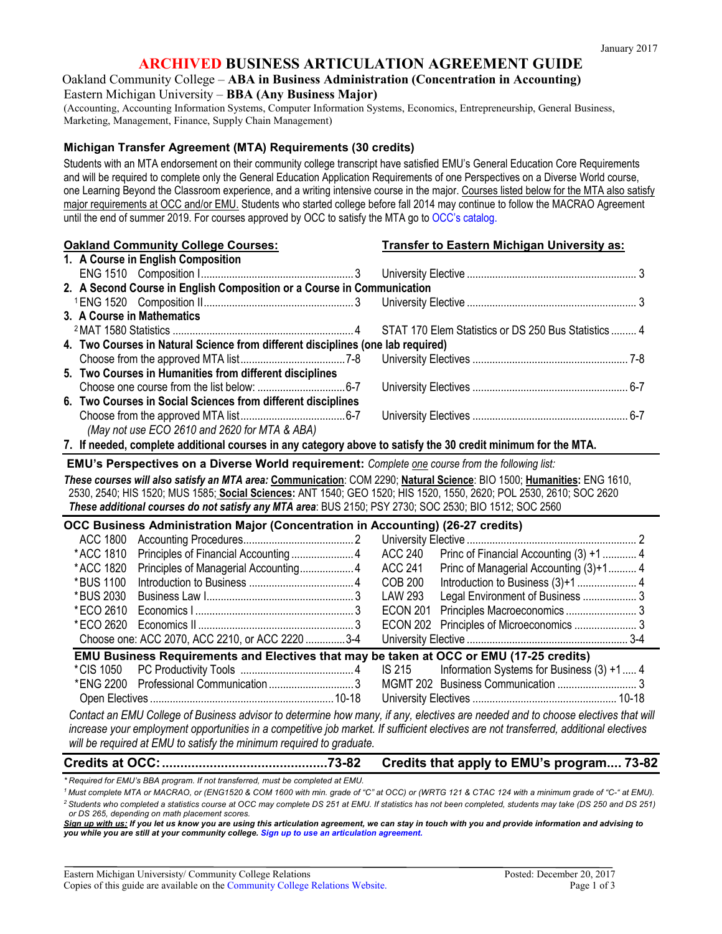## **ARCHIVED BUSINESS ARTICULATION AGREEMENT GUIDE**

### Oakland Community College – **ABA in Business Administration (Concentration in Accounting)** Eastern Michigan University – **BBA (Any Business Major)**

(Accounting, Accounting Information Systems, Computer Information Systems, Economics, Entrepreneurship, General Business, Marketing, Management, Finance, Supply Chain Management)

#### **Michigan Transfer Agreement (MTA) Requirements (30 credits)**

Students with an MTA endorsement on their community college transcript have satisfied EMU's General Education Core Requirements and will be required to complete only the General Education Application Requirements of one Perspectives on a Diverse World course, one Learning Beyond the Classroom experience, and a writing intensive course in the major. Courses listed below for the MTA also satisfy major requirements at OCC and/or EMU. Students who started college before fall 2014 may continue to follow the MACRAO Agreement until the end of summer 2019. For courses approved by OCC to satisfy the MTA go to [OCC's catalog.](http://catalog.oaklandcc.edu/graduation-requirements/)

| <b>Oakland Community College Courses:</b>                                                                              | <b>Transfer to Eastern Michigan University as:</b>        |  |  |
|------------------------------------------------------------------------------------------------------------------------|-----------------------------------------------------------|--|--|
| 1. A Course in English Composition                                                                                     |                                                           |  |  |
|                                                                                                                        |                                                           |  |  |
| 2. A Second Course in English Composition or a Course in Communication                                                 |                                                           |  |  |
|                                                                                                                        |                                                           |  |  |
| 3. A Course in Mathematics                                                                                             |                                                           |  |  |
|                                                                                                                        | STAT 170 Elem Statistics or DS 250 Bus Statistics  4      |  |  |
| 4. Two Courses in Natural Science from different disciplines (one lab required)                                        |                                                           |  |  |
|                                                                                                                        |                                                           |  |  |
| 5. Two Courses in Humanities from different disciplines                                                                |                                                           |  |  |
|                                                                                                                        |                                                           |  |  |
| 6. Two Courses in Social Sciences from different disciplines                                                           |                                                           |  |  |
|                                                                                                                        |                                                           |  |  |
| (May not use ECO 2610 and 2620 for MTA & ABA)                                                                          |                                                           |  |  |
| 7. If needed, complete additional courses in any category above to satisfy the 30 credit minimum for the MTA.          |                                                           |  |  |
| EMU's Perspectives on a Diverse World requirement: Complete one course from the following list:                        |                                                           |  |  |
| These courses will also satisfy an MTA area: Communication: COM 2290; Natural Science: BIO 1500; Humanities: ENG 1610, |                                                           |  |  |
| 2530, 2540; HIS 1520; MUS 1585; Social Sciences: ANT 1540; GEO 1520; HIS 1520, 1550, 2620; POL 2530, 2610; SOC 2620    |                                                           |  |  |
| These additional courses do not satisfy any MTA area: BUS 2150; PSY 2730; SOC 2530; BIO 1512; SOC 2560                 |                                                           |  |  |
| OCC Business Administration Major (Concentration in Accounting) (26-27 credits)                                        |                                                           |  |  |
| <b>ACC 1800</b>                                                                                                        |                                                           |  |  |
| *ACC 1810<br>Principles of Financial Accounting 4                                                                      | <b>ACC 240</b><br>Princ of Financial Accounting (3) +1  4 |  |  |
| * ACC 1820                                                                                                             |                                                           |  |  |
|                                                                                                                        | <b>ACC 241</b><br>Princ of Managerial Accounting (3)+1 4  |  |  |
| *BUS 1100                                                                                                              | <b>COB 200</b>                                            |  |  |
| *BUS 2030                                                                                                              | <b>LAW 293</b>                                            |  |  |
| *ECO 2610                                                                                                              | Legal Environment of Business  3<br><b>ECON 201</b>       |  |  |
| *ECO 2620                                                                                                              | <b>ECON 202</b>                                           |  |  |
| Choose one: ACC 2070, ACC 2210, or ACC 2220 3-4                                                                        |                                                           |  |  |
| EMU Business Requirements and Electives that may be taken at OCC or EMU (17-25 credits)                                |                                                           |  |  |
| *CIS 1050                                                                                                              | Information Systems for Business (3) +1 4<br>IS 215       |  |  |
| *ENG 2200                                                                                                              |                                                           |  |  |

*Contact an EMU College of Business advisor to determine how many, if any, electives are needed and to choose electives that will increase your employment opportunities in a competitive job market. If sufficient electives are not transferred, additional electives will be required at EMU to satisfy the minimum required to graduate.*

## **Credits at OCC:.............................................73-82 Credits that apply to EMU's program.... 73-82**

*\* Required for EMU's BBA program. If not transferred, must be completed at EMU.*

*1 Must complete MTA or MACRAO, or (ENG1520 & COM 1600 with min. grade of "C" at OCC) or (WRTG 121 & CTAC 124 with a minimum grade of "C-" at EMU). 2 Students who completed a statistics course at OCC may complete DS 251 at EMU. If statistics has not been completed, students may take (DS 250 and DS 251)* 

*or DS 265, depending on math placement scores. Sign up with us: If you let us know you are using this articulation agreement, we can stay in touch with you and provide information and advising to* 

*you while you are still at your community college[. Sign up to use an articulation agreement.](http://www.emich.edu/ccr/articulation-agreements/signup.php)*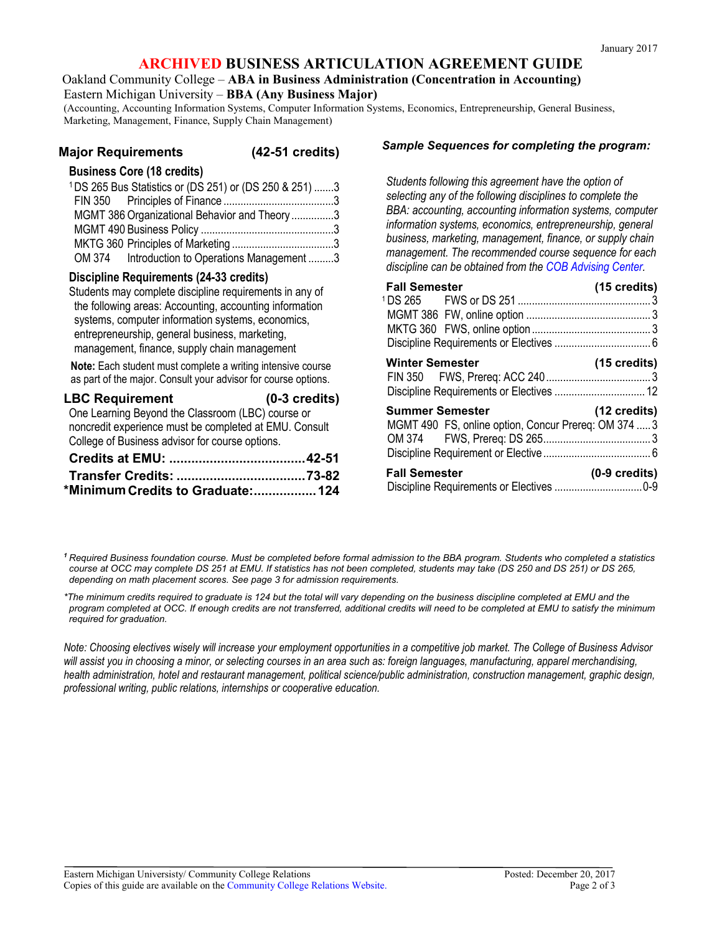## **ARCHIVED BUSINESS ARTICULATION AGREEMENT GUIDE**

Oakland Community College – **ABA in Business Administration (Concentration in Accounting)**

Eastern Michigan University – **BBA (Any Business Major)**

(Accounting, Accounting Information Systems, Computer Information Systems, Economics, Entrepreneurship, General Business, Marketing, Management, Finance, Supply Chain Management)

### **Major Requirements (42-51 credits)**

#### **Business Core (18 credits)**

| <sup>1</sup> DS 265 Bus Statistics or (DS 251) or (DS 250 & 251) 3 |  |
|--------------------------------------------------------------------|--|
|                                                                    |  |
| MGMT 386 Organizational Behavior and Theory 3                      |  |
|                                                                    |  |
|                                                                    |  |
| OM 374 Introduction to Operations Management 3                     |  |

## **Discipline Requirements (24-33 credits)**

Students may complete discipline requirements in any of the following areas: Accounting, accounting information systems, computer information systems, economics, entrepreneurship, general business, marketing, management, finance, supply chain management

**Note:** Each student must complete a writing intensive course as part of the major. Consult your advisor for course options.

| <b>LBC Requirement</b>                                 | $(0-3 \text{ credits})$ |
|--------------------------------------------------------|-------------------------|
| One Learning Beyond the Classroom (LBC) course or      |                         |
| noncredit experience must be completed at EMU. Consult |                         |
| College of Business advisor for course options.        |                         |
|                                                        |                         |
|                                                        |                         |
| *Minimum Credits to Graduate:124                       |                         |

#### *Sample Sequences for completing the program:*

*Students following this agreement have the option of selecting any of the following disciplines to complete the BBA: accounting, accounting information systems, computer information systems, economics, entrepreneurship, general business, marketing, management, finance, or supply chain management. The recommended course sequence for each discipline can be obtained from the [COB Advising Center.](http://www.emich.edu/cob/students/advisors/undergraduate.php)*

| <b>Fall Semester</b>                                 | $(15 \text{ credits})$  |
|------------------------------------------------------|-------------------------|
|                                                      |                         |
|                                                      |                         |
|                                                      |                         |
|                                                      |                         |
| <b>Winter Semester</b>                               | $(15 \text{ credits})$  |
|                                                      |                         |
| <b>Summer Semester</b>                               | $(12 \text{ credits})$  |
| MGMT 490 FS, online option, Concur Prereq: OM 374  3 |                         |
|                                                      |                         |
|                                                      |                         |
| <b>Fall Semester</b>                                 | $(0-9 \text{ credits})$ |
|                                                      |                         |

*<sup>1</sup> Required Business foundation course. Must be completed before formal admission to the BBA program. Students who completed a statistics course at OCC may complete DS 251 at EMU. If statistics has not been completed, students may take (DS 250 and DS 251) or DS 265, depending on math placement scores. See page 3 for admission requirements.*

*\*The minimum credits required to graduate is 124 but the total will vary depending on the business discipline completed at EMU and the program completed at OCC. If enough credits are not transferred, additional credits will need to be completed at EMU to satisfy the minimum required for graduation.* 

*Note: Choosing electives wisely will increase your employment opportunities in a competitive job market. The College of Business Advisor*  will assist you in choosing a minor, or selecting courses in an area such as: foreign languages, manufacturing, apparel merchandising, *health administration, hotel and restaurant management, political science/public administration, construction management, graphic design, professional writing, public relations, internships or cooperative education.*